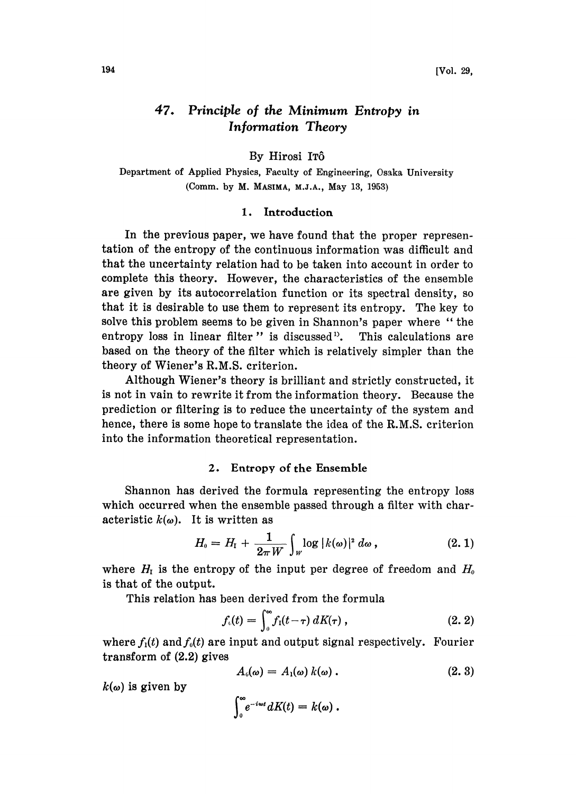#### 47. Principle of the Minimum Entropy in Information Theory

By Hirosi IT6

Department of Applied Physics, Faculty of Engineering, Osaka University (Comm. by M. MASIMA, M.J.A., May 13, 1953)

### 1. Introduction

In the previous paper, we have found that the proper representation of the entropy of the continuous information was difficult and that the uncertainty relation had to be taken into account in order to complete this theory. However, the characteristics of the ensemble are given by its autocorrelation function or its spectral density, so that it is desirable to use them to represent its entropy. The key to solve this problem seems to be given in Shannon's paper where " the entropy loss in linear filter " is discussed". This calculations are based on the theory of the filter which is relatively simpler than the theory of Wiener's R.M.S. criterion.

Although Wiener's theory is brilliant and strictly constructed, it is not in vain to rewrite it from the information theory. Because the prediction or filtering is to reduce the uncertainty of the system and hence, there is some hope to translate the idea of the R.M.S. criterion into the information theoretical representation.

# 2. Entropy of the Ensemble

Shannon has derived the formula representing the entropy loss which occurred when the ensemble passed through a filter with characteristic  $k(\omega)$ . It is written as

$$
H_0 = H_{\rm I} + \frac{1}{2\pi W} \int_W \log |k(\omega)|^2 d\omega , \qquad (2.1)
$$

where  $H_I$  is the entropy of the input per degree of freedom and  $H_0$ is that of the output.

This relation has been derived from the formula

$$
f_{\iota}(t) = \int_0^\infty f_1(t-\tau) \, dK(\tau) \,, \tag{2.2}
$$

where  $f_1(t)$  and  $f_0(t)$  are input and output signal respectively. Fourier transform of (2.2) gives

$$
A_0(\omega) = A_1(\omega) k(\omega) . \qquad (2.3)
$$

 $k(\omega)$  is given by

$$
\int_0^\infty e^{-i\omega t} dK(t) = k(\omega).
$$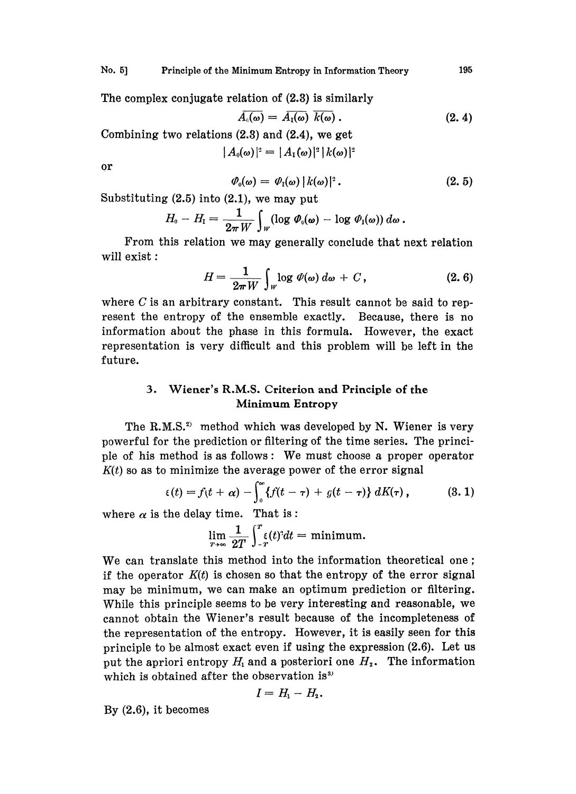The complex conjugate relation of (2.3) is similarly

$$
\overline{A_{\iota}(\omega)} = \overline{A_{\iota}(\omega)} \, \overline{k(\omega)} \, . \tag{2.4}
$$

Combining two relations (2.3) and (2.4), we get

$$
|A_0(\omega)|^2 = |A_1(\omega)|^2 |k(\omega)|^2
$$

or

$$
\varPhi_0(\omega) = \varPhi_1(\omega) |k(\omega)|^2. \qquad (2.5)
$$

Substituting (2.5) into (2.1), we may put

$$
H_{\scriptscriptstyle 0} - H_{\scriptscriptstyle \rm I} = \frac{1}{2\pi\,W} \int_W (\log\,\varPhi_{\scriptscriptstyle 0}(\pmb\omega) - \log\,\varPhi_{\scriptscriptstyle \rm I}(\pmb\omega))\,d\pmb\omega\,.
$$

From this relation we may generally conclude that next relation will exist :

$$
H = \frac{1}{2\pi W} \int_{W} \log \varPhi(\omega) d\omega + C, \qquad (2.6)
$$

where  $C$  is an arbitrary constant. This result cannot be said to represent the entropy of the ensemble exactly. Because, there is no information about the phase in this formula. However, the exact representation is very difficult and this problem will be left in the future.

# 3. Wiener's R.M.S. Criterion and Principle of the Minimum Entropy

The R.M.S.<sup>2)</sup> method which was developed by N. Wiener is very powerful for the prediction or filtering of the time series. The principle of his method is as follows: We must choose a proper operator  $K(t)$  so as to minimize the average power of the error signal

$$
\epsilon(t) = f(t+\alpha) - \int_0^\infty \{f(t-\tau) + g(t-\tau)\} dK(\tau), \qquad (3.1)
$$

where  $\alpha$  is the delay time. That is:

$$
\lim_{T\to\infty}\frac{1}{2T}\int_{-T}^{T}\xi(t)^{3}dt=\text{minimum}.
$$

We can translate this method into the information theoretical one; if the operator  $K(t)$  is chosen so that the entropy of the error signal may be minimum, we can make an optimum prediction or filtering. While this principle seems to be very interesting and reasonable, we cannot obtain the Wiener's result because of the incompleteness of the representation of the entropy. However, it is easily seen for this principle to be almost exact even if using the expression (2.6). Let us put the apriori entropy  $H_1$  and a posteriori one  $H_2$ . The information which is obtained after the observation is<sup>33</sup>

$$
I=H_1-H_2.
$$

By (2.6), it becomes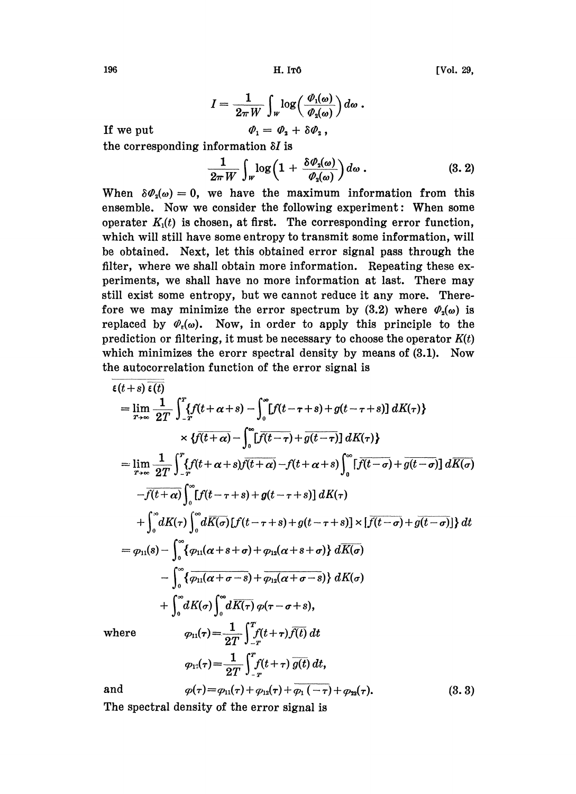$(3.3)$ 

$$
I = \frac{1}{2\pi W} \int_W \log\left(\frac{\varPhi_1(\omega)}{\varPhi_2(\omega)}\right) d\omega.
$$

$$
\varPhi_1 = \varPhi_2 + \delta \varPhi_2,
$$

If we put

the corresponding information  $\delta I$  is

$$
\frac{1}{2\pi W}\int_{W} \log\left(1+\frac{\delta \varPhi_{\mathfrak{s}}(\omega)}{\varPhi_{\mathfrak{s}}(\omega)}\right) d\omega.
$$
 (3. 2)

When  $\delta\varPhi_2(\omega) = 0$ , we have the maximum information from this ensemble. Now we consider the following experiment: When some operater  $K_1(t)$  is chosen, at first. The corresponding error function, which will still have some entropy to transmit some information, will be obtained. Next, let this obtained error signal pass through the filter, where we shall obtain more information. Repeating these experiments, we shall have no more information at last. There may still exist some entropy, but we cannot reduce it any more. Therefore we may minimize the error spectrum by (3.2) where  $\varphi_2(\omega)$  is replaced by  $\varPhi_{\epsilon}(\omega)$ . Now, in order to apply this principle to the prediction or filtering, it must be necessary to choose the operator  $K(t)$ which minimizes the erorr spectral density by means of  $(3.1)$ . Now the autocorrelation function of the error signal is

$$
\epsilon(t+s)\overline{\epsilon(t)}
$$
\n
$$
= \lim_{T\to\infty} \frac{1}{2T} \int_{-T}^{T} \{f(t+\alpha+s) - \int_{0}^{\infty} [f(t-\tau+s) + g(t-\tau+s)] dK(\tau) \} \times \{f(t+\alpha) - \int_{0}^{\infty} [f(t-\tau) + g(t-\tau)] dK(\tau) \}
$$
\n
$$
= \lim_{T\to\infty} \frac{1}{2T} \int_{-T}^{T} \{f(t+\alpha+s)f(t+\alpha) - f(t+\alpha+s)\int_{0}^{\infty} [f(t-\sigma) + g(t-\sigma)] d\overline{K(\sigma)} \times \{-\overline{f(t+\alpha)}\int_{0}^{\infty} [f(t-\tau+s) + g(t-\tau+s)] dK(\tau) \} \times \{-\overline{f(t+\alpha)}\int_{0}^{\infty} [f(t-\tau+s) + g(t-\tau+s)] \times [\overline{f(t-\sigma)} + g(t-\sigma)] \} dt
$$
\n
$$
= \varphi_{11}(s) - \int_{0}^{\infty} \{ \varphi_{11}(\alpha+s+\sigma) + \varphi_{12}(\alpha+s+\sigma) \} d\overline{K(\sigma)} \times \{-\overline{f(t+\sigma)}\int_{0}^{\infty} [f(t+\sigma-s) + \overline{\varphi_{12}(\alpha+s-\sigma)} \} dK(\sigma) \times \{-\overline{f(t+\sigma)}\int_{0}^{\infty} dK(\sigma) \int_{0}^{\infty} d\overline{K(\tau)} \varphi(\tau-\sigma+s),
$$
\nwhere\n
$$
\varphi_{11}(\tau) = \frac{1}{2T} \int_{-T}^{T} f(t+\tau) \overline{f(t)} dt
$$
\n
$$
\varphi_{12}(\tau) = \frac{1}{2T} \int_{-T}^{T} f(t+\tau) \overline{g(t)} dt,
$$

 $\varphi(\tau) = \varphi_{11}(\tau) + \varphi_{12}(\tau) + \varphi_{11}(-\tau) + \varphi_{22}(\tau).$ 

and

The spectral density of the error signal is